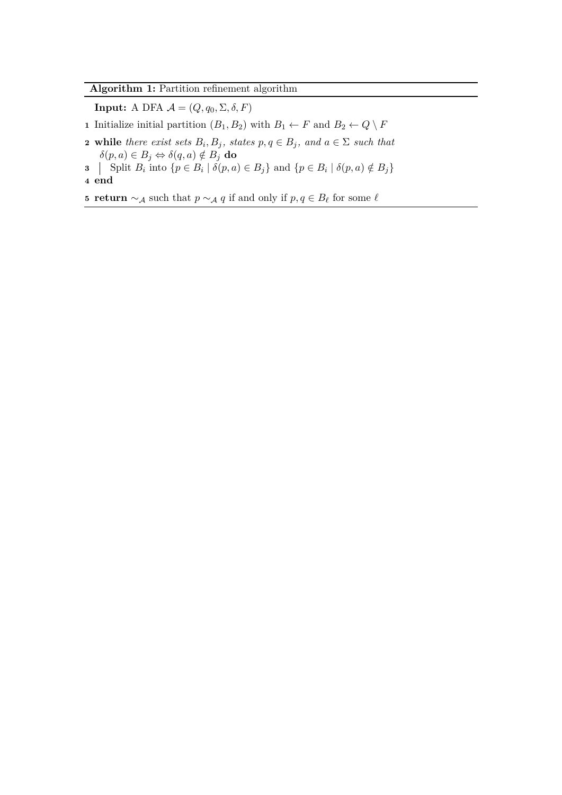## **Algorithm 1:** Partition refinement algorithm

**Input:** A DFA  $\mathcal{A} = (Q, q_0, \Sigma, \delta, F)$ 

**1** Initialize initial partition  $(B_1, B_2)$  with  $B_1 \leftarrow F$  and  $B_2 \leftarrow Q \setminus F$ 

**2** while there exist sets  $B_i$ ,  $B_j$ , states  $p, q \in B_j$ , and  $a \in \Sigma$  such that  $\delta(p, a) \in B_j \Leftrightarrow \delta(q, a) \notin B_j$  do

**3**  $\left[ \text{Split } B_i \text{ into } \{p \in B_i \mid \delta(p, a) \in B_j \} \text{ and } \{p \in B_i \mid \delta(p, a) \notin B_j \}$ **4 end**

**5 return** ∼A such that  $p \sim A$  *q* if and only if  $p, q \in B$ <sup> $\ell$ </sup> for some  $\ell$